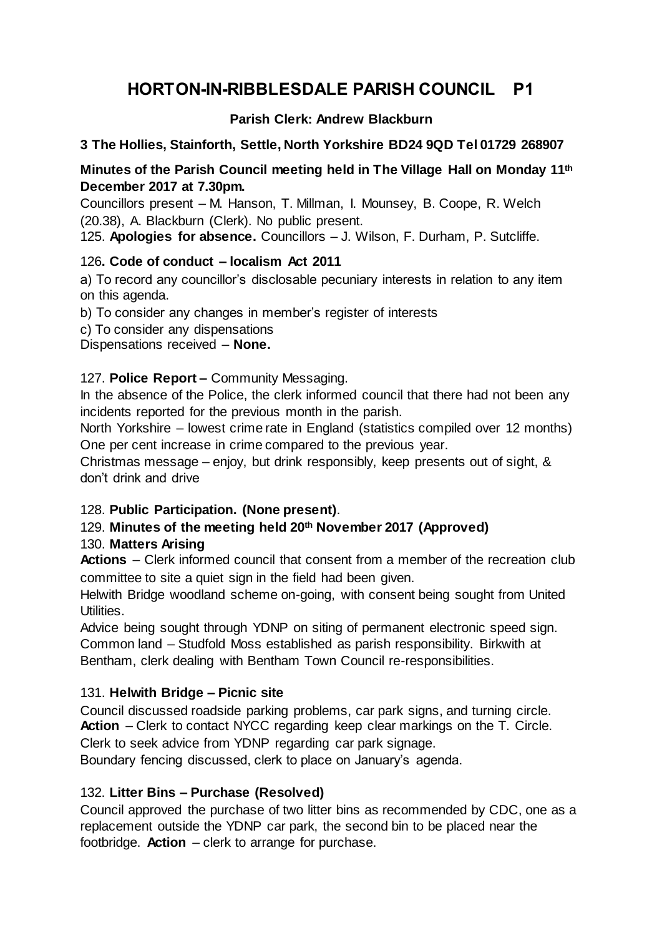# **HORTON-IN-RIBBLESDALE PARISH COUNCIL P1**

# **Parish Clerk: Andrew Blackburn**

## **3 The Hollies, Stainforth, Settle, North Yorkshire BD24 9QD Tel 01729 268907**

## **Minutes of the Parish Council meeting held in The Village Hall on Monday 11th December 2017 at 7.30pm.**

Councillors present – M. Hanson, T. Millman, I. Mounsey, B. Coope, R. Welch (20.38), A. Blackburn (Clerk). No public present.

125. **Apologies for absence.** Councillors – J. Wilson, F. Durham, P. Sutcliffe.

## 126**. Code of conduct – localism Act 2011**

a) To record any councillor's disclosable pecuniary interests in relation to any item on this agenda.

b) To consider any changes in member's register of interests

c) To consider any dispensations

Dispensations received – **None.**

## 127. **Police Report –** Community Messaging.

In the absence of the Police, the clerk informed council that there had not been any incidents reported for the previous month in the parish.

North Yorkshire – lowest crime rate in England (statistics compiled over 12 months) One per cent increase in crime compared to the previous year.

Christmas message – enjoy, but drink responsibly, keep presents out of sight, & don't drink and drive

# 128. **Public Participation. (None present)**.

# 129. **Minutes of the meeting held 20th November 2017 (Approved)**

## 130. **Matters Arising**

**Actions** – Clerk informed council that consent from a member of the recreation club committee to site a quiet sign in the field had been given.

Helwith Bridge woodland scheme on-going, with consent being sought from United Utilities.

Advice being sought through YDNP on siting of permanent electronic speed sign. Common land – Studfold Moss established as parish responsibility. Birkwith at Bentham, clerk dealing with Bentham Town Council re-responsibilities.

## 131. **Helwith Bridge – Picnic site**

Council discussed roadside parking problems, car park signs, and turning circle. **Action** – Clerk to contact NYCC regarding keep clear markings on the T. Circle. Clerk to seek advice from YDNP regarding car park signage.

Boundary fencing discussed, clerk to place on January's agenda.

## 132. **Litter Bins – Purchase (Resolved)**

Council approved the purchase of two litter bins as recommended by CDC, one as a replacement outside the YDNP car park, the second bin to be placed near the footbridge. **Action** – clerk to arrange for purchase.